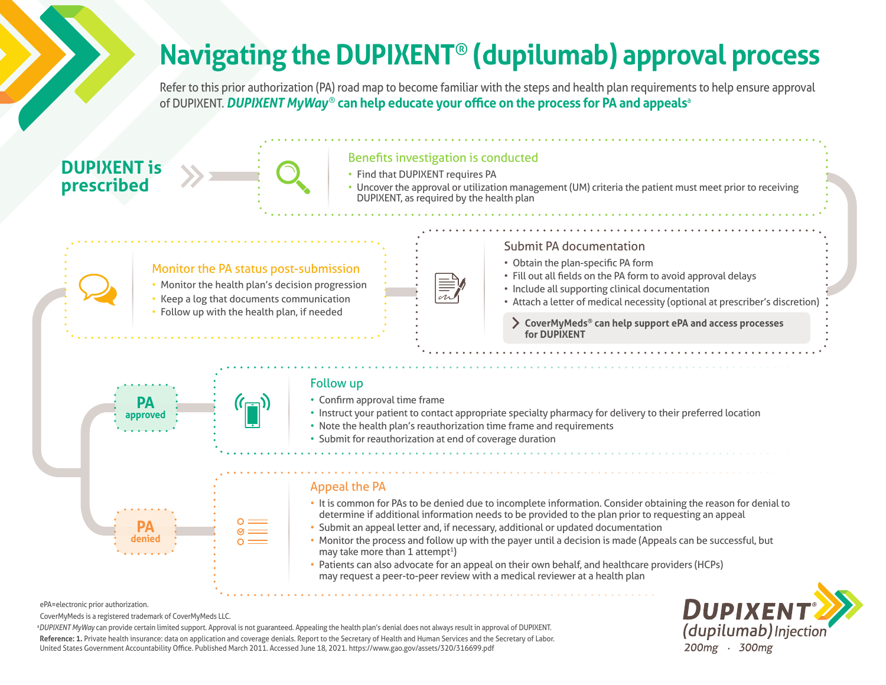# **Navigating the DUPIXENT**® **(dupilumab) approval process**

Refer to this prior authorization (PA) road map to become familiar with the steps and health plan requirements to help ensure approval of DUPIXENT. *DUPIXENT MyWay*® **can help educate your office on the process for PA and appeals**<sup>a</sup>

## **DUPIXENT is prescribed**



### Benefits investigation is conducted

- Find that DUPIXENT requires PA
- Uncover the approval or utilization management (UM) criteria the patient must meet prior to receiving DUPIXENT, as required by the health plan

### Monitor the PA status post-submission

- Monitor the health plan's decision progression
- Keep a log that documents communication
- Follow up with the health plan, if needed

## Submit PA documentation

- Obtain the plan-specific PA form
- Fill out all fields on the PA form to avoid approval delays
- Include all supporting clinical documentation
- Attach a letter of medical necessity (optional at prescriber's discretion)
	- **CoverMyMeds® can help support ePA and access processes for DUPIXENT**



### Follow up

- Confirm approval time frame
- Instruct your patient to contact appropriate specialty pharmacy for delivery to their preferred location
- Note the health plan's reauthorization time frame and requirements
- Submit for reauthorization at end of coverage duration

#### Appeal the PA

- It is common for PAs to be denied due to incomplete information. Consider obtaining the reason for denial to determine if additional information needs to be provided to the plan prior to requesting an appeal
- Submit an appeal letter and, if necessary, additional or updated documentation
- Monitor the process and follow up with the payer until a decision is made (Appeals can be successful, but may take more than 1 attempt<sup>1</sup>)
- Patients can also advocate for an appeal on their own behalf, and healthcare providers (HCPs) may request a peer-to-peer review with a medical reviewer at a health plan



ePA=electronic prior authorization.

CoverMyMeds is a registered trademark of CoverMyMeds LLC.

a *DUPIXENT MyWay* can provide certain limited support. Approval is not guaranteed. Appealing the health plan's denial does not always result in approval of DUPIXENT. **Reference: 1.** Private health insurance: data on application and coverage denials. Report to the Secretary of Health and Human Services and the Secretary of Labor. United States Government Accountability Office. Published March 2011. Accessed June 18, 2021. https://www.gao.gov/assets/320/316699.pdf